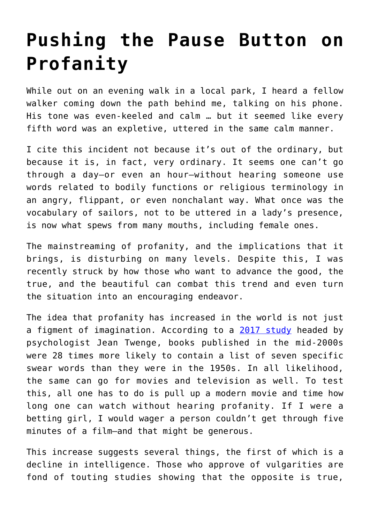## **[Pushing the Pause Button on](https://intellectualtakeout.org/2021/12/pushing-the-pause-button-on-profanity/) [Profanity](https://intellectualtakeout.org/2021/12/pushing-the-pause-button-on-profanity/)**

While out on an evening walk in a local park, I heard a fellow walker coming down the path behind me, talking on his phone. His tone was even-keeled and calm … but it seemed like every fifth word was an expletive, uttered in the same calm manner.

I cite this incident not because it's out of the ordinary, but because it is, in fact, very ordinary. It seems one can't go through a day—or even an hour—without hearing someone use words related to bodily functions or religious terminology in an angry, flippant, or even nonchalant way. What once was the vocabulary of sailors, not to be uttered in a lady's presence, is now what spews from many mouths, including female ones.

The mainstreaming of profanity, and the implications that it brings, is disturbing on many levels. Despite this, I was recently struck by how those who want to advance the good, the true, and the beautiful can combat this trend and even turn the situation into an encouraging endeavor.

The idea that profanity has increased in the world is not just a figment of imagination. According to a [2017 study](https://journals.sagepub.com/doi/pdf/10.1177/2158244017723689) headed by psychologist Jean Twenge, books published in the mid-2000s were 28 times more likely to contain a list of seven specific swear words than they were in the 1950s. In all likelihood, the same can go for movies and television as well. To test this, all one has to do is pull up a modern movie and time how long one can watch without hearing profanity. If I were a betting girl, I would wager a person couldn't get through five minutes of a film—and that might be generous.

This increase suggests several things, the first of which is a decline in intelligence. Those who approve of vulgarities are fond of touting studies showing that the opposite is true,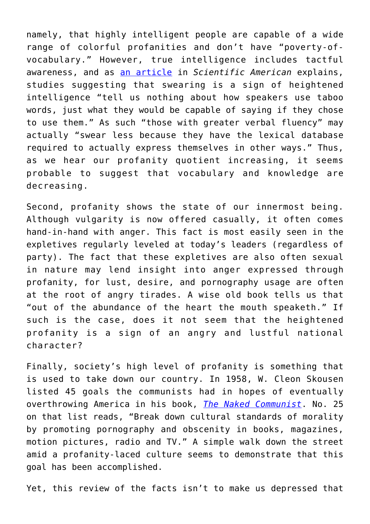namely, that highly intelligent people are capable of a wide range of colorful profanities and don't have "poverty-ofvocabulary." However, true intelligence includes tactful awareness, and as [an article](https://www.scientificamerican.com/article/is-swearing-a-sign-of-a-limited-vocabulary/) in *Scientific American* explains, studies suggesting that swearing is a sign of heightened intelligence "tell us nothing about how speakers use taboo words, just what they would be capable of saying if they chose to use them." As such "those with greater verbal fluency" may actually "swear less because they have the lexical database required to actually express themselves in other ways." Thus, as we hear our profanity quotient increasing, it seems probable to suggest that vocabulary and knowledge are decreasing.

Second, profanity shows the state of our innermost being. Although vulgarity is now offered casually, it often comes hand-in-hand with anger. This fact is most easily seen in the expletives regularly leveled at today's leaders (regardless of party). The fact that these expletives are also often sexual in nature may lend insight into anger expressed through profanity, for lust, desire, and pornography usage are often at the root of angry tirades. A wise old book tells us that "out of the abundance of the heart the mouth speaketh." If such is the case, does it not seem that the heightened profanity is a sign of an angry and lustful national character?

Finally, society's high level of profanity is something that is used to take down our country. In 1958, W. Cleon Skousen listed 45 goals the communists had in hopes of eventually overthrowing America in his book, *[The Naked Communist](https://archive.org/details/B-001-002-046/page/n283/mode/2up)*. No. 25 on that list reads, "Break down cultural standards of morality by promoting pornography and obscenity in books, magazines, motion pictures, radio and TV." A simple walk down the street amid a profanity-laced culture seems to demonstrate that this goal has been accomplished.

Yet, this review of the facts isn't to make us depressed that